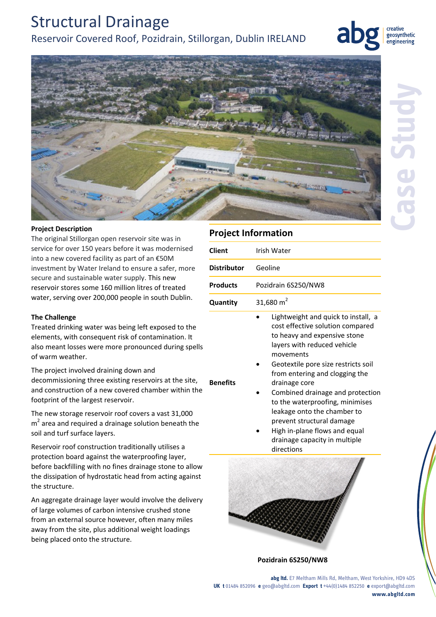# Structural Drainage Reservoir Covered Roof, Pozidrain, Stillorgan, Dublin IRELAND



geosynthetic engineering

**Case Study**



### **Project Description**

The original Stillorgan open reservoir site was in service for over 150 years before it was modernised into a new covered facility as part of an €50M investment by Water Ireland to ensure a safer, more secure and sustainable water supply. This new reservoir stores some 160 million litres of treated water, serving over 200,000 people in south Dublin.

#### **The Challenge**

Treated drinking water was being left exposed to the elements, with consequent risk of contamination. It also meant losses were more pronounced during spells of warm weather.

The project involved draining down and

decommissioning three existing reservoirs at the site, and construction of a new covered chamber within the footprint of the largest reservoir.

The new storage reservoir roof covers a vast 31,000  $m<sup>2</sup>$  area and required a drainage solution beneath the soil and turf surface layers.

Reservoir roof construction traditionally utilises a protection board against the waterproofing layer, before backfilling with no fines drainage stone to allow the dissipation of hydrostatic head from acting against the structure.

An aggregate drainage layer would involve the delivery of large volumes of carbon intensive crushed stone from an external source however, often many miles away from the site, plus additional weight loadings being placed onto the structure.

### **Project Information**

| <b>Client</b>      | Irish Water                                                                                                                                                                                                                                                                                                                                                                                                                                                      |
|--------------------|------------------------------------------------------------------------------------------------------------------------------------------------------------------------------------------------------------------------------------------------------------------------------------------------------------------------------------------------------------------------------------------------------------------------------------------------------------------|
| <b>Distributor</b> | Geoline                                                                                                                                                                                                                                                                                                                                                                                                                                                          |
| <b>Products</b>    | Pozidrain 6S250/NW8                                                                                                                                                                                                                                                                                                                                                                                                                                              |
| Quantity           | 31,680 $m2$                                                                                                                                                                                                                                                                                                                                                                                                                                                      |
| <b>Benefits</b>    | Lightweight and quick to install, a<br>cost effective solution compared<br>to heavy and expensive stone<br>layers with reduced vehicle<br>movements<br>Geotextile pore size restricts soil<br>from entering and clogging the<br>drainage core<br>Combined drainage and protection<br>to the waterproofing, minimises<br>leakage onto the chamber to<br>prevent structural damage<br>High in-plane flows and equal<br>drainage capacity in multiple<br>directions |
|                    |                                                                                                                                                                                                                                                                                                                                                                                                                                                                  |

**Pozidrain 6S250/NW8**

**abg ltd.** E7 Meltham Mills Rd, Meltham, West Yorkshire, HD9 4DS **UK t** 01484 852096 **e** geo@abgltd.com **Export t** +44(0)1484 852250 **e** export@abgltd.com **www.abgltd.com**